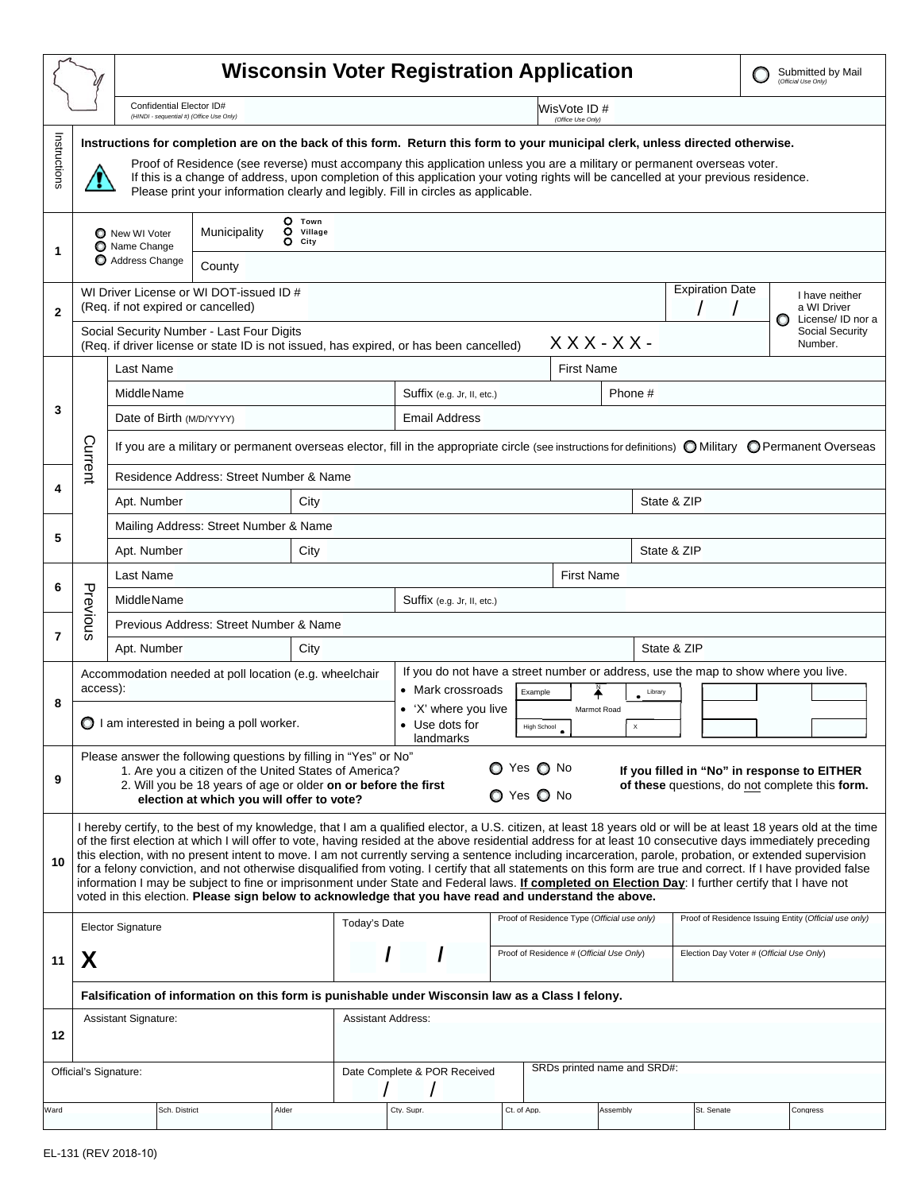|              |                                                                                                                                                                                                                                                                                                                                                                                                                                                                                                                                                                                                                                                                                                                                                                                                                                                                                                                              |                                                                                                                                                                                                                                                                                                                                                                                                                                                                                        | <b>Wisconsin Voter Registration Application</b>                                        |       |                                                                                    |                            |                                                      |                   |             |                                             |             |             |                                          |                                                       | Submitted by Mail<br>(Official Use Only) |  |                                                    |  |
|--------------|------------------------------------------------------------------------------------------------------------------------------------------------------------------------------------------------------------------------------------------------------------------------------------------------------------------------------------------------------------------------------------------------------------------------------------------------------------------------------------------------------------------------------------------------------------------------------------------------------------------------------------------------------------------------------------------------------------------------------------------------------------------------------------------------------------------------------------------------------------------------------------------------------------------------------|----------------------------------------------------------------------------------------------------------------------------------------------------------------------------------------------------------------------------------------------------------------------------------------------------------------------------------------------------------------------------------------------------------------------------------------------------------------------------------------|----------------------------------------------------------------------------------------|-------|------------------------------------------------------------------------------------|----------------------------|------------------------------------------------------|-------------------|-------------|---------------------------------------------|-------------|-------------|------------------------------------------|-------------------------------------------------------|------------------------------------------|--|----------------------------------------------------|--|
|              |                                                                                                                                                                                                                                                                                                                                                                                                                                                                                                                                                                                                                                                                                                                                                                                                                                                                                                                              |                                                                                                                                                                                                                                                                                                                                                                                                                                                                                        | Confidential Elector ID#<br>(HINDI - sequential #) (Office Use Only)                   |       |                                                                                    |                            | WisVote ID#<br>(Office Use Only)                     |                   |             |                                             |             |             |                                          |                                                       |                                          |  |                                                    |  |
| Instructions |                                                                                                                                                                                                                                                                                                                                                                                                                                                                                                                                                                                                                                                                                                                                                                                                                                                                                                                              | Instructions for completion are on the back of this form. Return this form to your municipal clerk, unless directed otherwise.<br>Proof of Residence (see reverse) must accompany this application unless you are a military or permanent overseas voter.<br>If this is a change of address, upon completion of this application your voting rights will be cancelled at your previous residence.<br>Please print your information clearly and legibly. Fill in circles as applicable. |                                                                                        |       |                                                                                    |                            |                                                      |                   |             |                                             |             |             |                                          |                                                       |                                          |  |                                                    |  |
| 1            | O Town<br>0<br>Municipality<br>Village<br>New WI Voter<br>$O$ City<br>Name Change<br>Address Change<br>County                                                                                                                                                                                                                                                                                                                                                                                                                                                                                                                                                                                                                                                                                                                                                                                                                |                                                                                                                                                                                                                                                                                                                                                                                                                                                                                        |                                                                                        |       |                                                                                    |                            |                                                      |                   |             |                                             |             |             |                                          |                                                       |                                          |  |                                                    |  |
| $\mathbf{2}$ | WI Driver License or WI DOT-issued ID #<br>(Req. if not expired or cancelled)<br>Social Security Number - Last Four Digits                                                                                                                                                                                                                                                                                                                                                                                                                                                                                                                                                                                                                                                                                                                                                                                                   |                                                                                                                                                                                                                                                                                                                                                                                                                                                                                        |                                                                                        |       |                                                                                    |                            |                                                      |                   |             |                                             |             |             |                                          | <b>Expiration Date</b>                                |                                          |  | I have neither<br>a WI Driver<br>License/ ID nor a |  |
|              |                                                                                                                                                                                                                                                                                                                                                                                                                                                                                                                                                                                                                                                                                                                                                                                                                                                                                                                              |                                                                                                                                                                                                                                                                                                                                                                                                                                                                                        | (Req. if driver license or state ID is not issued, has expired, or has been cancelled) |       |                                                                                    |                            |                                                      |                   | $XXX-XX$ -  |                                             |             |             |                                          | Social Security<br>Number.                            |                                          |  |                                                    |  |
| 3            |                                                                                                                                                                                                                                                                                                                                                                                                                                                                                                                                                                                                                                                                                                                                                                                                                                                                                                                              | Last Name                                                                                                                                                                                                                                                                                                                                                                                                                                                                              |                                                                                        |       |                                                                                    |                            |                                                      | <b>First Name</b> |             |                                             |             |             |                                          |                                                       |                                          |  |                                                    |  |
|              |                                                                                                                                                                                                                                                                                                                                                                                                                                                                                                                                                                                                                                                                                                                                                                                                                                                                                                                              | Middle Name                                                                                                                                                                                                                                                                                                                                                                                                                                                                            |                                                                                        |       |                                                                                    | Suffix (e.g. Jr, II, etc.) |                                                      |                   |             |                                             |             | Phone #     |                                          |                                                       |                                          |  |                                                    |  |
|              |                                                                                                                                                                                                                                                                                                                                                                                                                                                                                                                                                                                                                                                                                                                                                                                                                                                                                                                              | Date of Birth (M/D/YYYY)                                                                                                                                                                                                                                                                                                                                                                                                                                                               |                                                                                        |       |                                                                                    |                            | <b>Email Address</b>                                 |                   |             |                                             |             |             |                                          |                                                       |                                          |  |                                                    |  |
|              | Current                                                                                                                                                                                                                                                                                                                                                                                                                                                                                                                                                                                                                                                                                                                                                                                                                                                                                                                      | If you are a military or permanent overseas elector, fill in the appropriate circle (see instructions for definitions) O Military O Permanent Overseas                                                                                                                                                                                                                                                                                                                                 |                                                                                        |       |                                                                                    |                            |                                                      |                   |             |                                             |             |             |                                          |                                                       |                                          |  |                                                    |  |
|              |                                                                                                                                                                                                                                                                                                                                                                                                                                                                                                                                                                                                                                                                                                                                                                                                                                                                                                                              | Residence Address: Street Number & Name                                                                                                                                                                                                                                                                                                                                                                                                                                                |                                                                                        |       |                                                                                    |                            |                                                      |                   |             |                                             |             |             |                                          |                                                       |                                          |  |                                                    |  |
| 4            |                                                                                                                                                                                                                                                                                                                                                                                                                                                                                                                                                                                                                                                                                                                                                                                                                                                                                                                              | Apt. Number                                                                                                                                                                                                                                                                                                                                                                                                                                                                            |                                                                                        |       |                                                                                    |                            |                                                      |                   |             |                                             | State & ZIP |             |                                          |                                                       |                                          |  |                                                    |  |
| 5            |                                                                                                                                                                                                                                                                                                                                                                                                                                                                                                                                                                                                                                                                                                                                                                                                                                                                                                                              | Mailing Address: Street Number & Name                                                                                                                                                                                                                                                                                                                                                                                                                                                  |                                                                                        |       |                                                                                    |                            |                                                      |                   |             |                                             |             |             |                                          |                                                       |                                          |  |                                                    |  |
|              |                                                                                                                                                                                                                                                                                                                                                                                                                                                                                                                                                                                                                                                                                                                                                                                                                                                                                                                              | Apt. Number<br>City                                                                                                                                                                                                                                                                                                                                                                                                                                                                    |                                                                                        |       |                                                                                    |                            |                                                      |                   |             |                                             |             | State & ZIP |                                          |                                                       |                                          |  |                                                    |  |
| 6            |                                                                                                                                                                                                                                                                                                                                                                                                                                                                                                                                                                                                                                                                                                                                                                                                                                                                                                                              | Last Name                                                                                                                                                                                                                                                                                                                                                                                                                                                                              |                                                                                        |       | <b>First Name</b>                                                                  |                            |                                                      |                   |             |                                             |             |             |                                          |                                                       |                                          |  |                                                    |  |
|              |                                                                                                                                                                                                                                                                                                                                                                                                                                                                                                                                                                                                                                                                                                                                                                                                                                                                                                                              | <b>Middle Name</b>                                                                                                                                                                                                                                                                                                                                                                                                                                                                     | Suffix (e.g. Jr, II, etc.)                                                             |       |                                                                                    |                            |                                                      |                   |             |                                             |             |             |                                          |                                                       |                                          |  |                                                    |  |
|              | Previous                                                                                                                                                                                                                                                                                                                                                                                                                                                                                                                                                                                                                                                                                                                                                                                                                                                                                                                     | Previous Address: Street Number & Name                                                                                                                                                                                                                                                                                                                                                                                                                                                 |                                                                                        |       |                                                                                    |                            |                                                      |                   |             |                                             |             |             |                                          |                                                       |                                          |  |                                                    |  |
| 7            |                                                                                                                                                                                                                                                                                                                                                                                                                                                                                                                                                                                                                                                                                                                                                                                                                                                                                                                              | Apt. Number<br>City                                                                                                                                                                                                                                                                                                                                                                                                                                                                    |                                                                                        |       | State & ZIP                                                                        |                            |                                                      |                   |             |                                             |             |             |                                          |                                                       |                                          |  |                                                    |  |
| 8            |                                                                                                                                                                                                                                                                                                                                                                                                                                                                                                                                                                                                                                                                                                                                                                                                                                                                                                                              | Accommodation needed at poll location (e.g. wheelchair                                                                                                                                                                                                                                                                                                                                                                                                                                 |                                                                                        |       | If you do not have a street number or address, use the map to show where you live. |                            |                                                      |                   |             |                                             |             |             |                                          |                                                       |                                          |  |                                                    |  |
|              | access):<br>$\bigcirc$ I am interested in being a poll worker.                                                                                                                                                                                                                                                                                                                                                                                                                                                                                                                                                                                                                                                                                                                                                                                                                                                               |                                                                                                                                                                                                                                                                                                                                                                                                                                                                                        |                                                                                        |       |                                                                                    |                            | • Mark crossroads<br>Example<br>• 'X' where you live |                   |             | Library<br>Marmot Road                      |             |             |                                          |                                                       |                                          |  |                                                    |  |
|              |                                                                                                                                                                                                                                                                                                                                                                                                                                                                                                                                                                                                                                                                                                                                                                                                                                                                                                                              |                                                                                                                                                                                                                                                                                                                                                                                                                                                                                        |                                                                                        |       |                                                                                    |                            | • Use dots for<br><b>High School</b><br>landmarks    |                   |             | ٠                                           |             |             |                                          |                                                       |                                          |  |                                                    |  |
| 9            |                                                                                                                                                                                                                                                                                                                                                                                                                                                                                                                                                                                                                                                                                                                                                                                                                                                                                                                              | Please answer the following questions by filling in "Yes" or No"<br>$\bigcirc$ Yes $\bigcirc$ No<br>1. Are you a citizen of the United States of America?<br>If you filled in "No" in response to EITHER<br>2. Will you be 18 years of age or older on or before the first<br>of these questions, do not complete this form.<br>O Yes O No<br>election at which you will offer to vote?                                                                                                |                                                                                        |       |                                                                                    |                            |                                                      |                   |             |                                             |             |             |                                          |                                                       |                                          |  |                                                    |  |
| 10           | I hereby certify, to the best of my knowledge, that I am a qualified elector, a U.S. citizen, at least 18 years old or will be at least 18 years old at the time<br>of the first election at which I will offer to vote, having resided at the above residential address for at least 10 consecutive days immediately preceding<br>this election, with no present intent to move. I am not currently serving a sentence including incarceration, parole, probation, or extended supervision<br>for a felony conviction, and not otherwise disqualified from voting. I certify that all statements on this form are true and correct. If I have provided false<br>information I may be subject to fine or imprisonment under State and Federal laws. If completed on Election Day: I further certify that I have not<br>voted in this election. Please sign below to acknowledge that you have read and understand the above. |                                                                                                                                                                                                                                                                                                                                                                                                                                                                                        |                                                                                        |       |                                                                                    |                            |                                                      |                   |             |                                             |             |             |                                          |                                                       |                                          |  |                                                    |  |
|              | <b>Elector Signature</b>                                                                                                                                                                                                                                                                                                                                                                                                                                                                                                                                                                                                                                                                                                                                                                                                                                                                                                     |                                                                                                                                                                                                                                                                                                                                                                                                                                                                                        |                                                                                        |       |                                                                                    | Today's Date               |                                                      |                   |             | Proof of Residence Type (Official use only) |             |             |                                          | Proof of Residence Issuing Entity (Official use only) |                                          |  |                                                    |  |
| 11           | X                                                                                                                                                                                                                                                                                                                                                                                                                                                                                                                                                                                                                                                                                                                                                                                                                                                                                                                            |                                                                                                                                                                                                                                                                                                                                                                                                                                                                                        |                                                                                        |       |                                                                                    |                            |                                                      |                   |             | Proof of Residence # (Official Use Only)    |             |             | Election Day Voter # (Official Use Only) |                                                       |                                          |  |                                                    |  |
|              | Falsification of information on this form is punishable under Wisconsin law as a Class I felony.                                                                                                                                                                                                                                                                                                                                                                                                                                                                                                                                                                                                                                                                                                                                                                                                                             |                                                                                                                                                                                                                                                                                                                                                                                                                                                                                        |                                                                                        |       |                                                                                    |                            |                                                      |                   |             |                                             |             |             |                                          |                                                       |                                          |  |                                                    |  |
|              | Assistant Signature:                                                                                                                                                                                                                                                                                                                                                                                                                                                                                                                                                                                                                                                                                                                                                                                                                                                                                                         |                                                                                                                                                                                                                                                                                                                                                                                                                                                                                        |                                                                                        |       |                                                                                    | <b>Assistant Address:</b>  |                                                      |                   |             |                                             |             |             |                                          |                                                       |                                          |  |                                                    |  |
| 12           |                                                                                                                                                                                                                                                                                                                                                                                                                                                                                                                                                                                                                                                                                                                                                                                                                                                                                                                              |                                                                                                                                                                                                                                                                                                                                                                                                                                                                                        |                                                                                        |       |                                                                                    |                            |                                                      |                   |             |                                             |             |             |                                          |                                                       |                                          |  |                                                    |  |
|              |                                                                                                                                                                                                                                                                                                                                                                                                                                                                                                                                                                                                                                                                                                                                                                                                                                                                                                                              | Official's Signature:                                                                                                                                                                                                                                                                                                                                                                                                                                                                  |                                                                                        |       |                                                                                    |                            | Date Complete & POR Received                         |                   |             | SRDs printed name and SRD#:                 |             |             |                                          |                                                       |                                          |  |                                                    |  |
| Ward         |                                                                                                                                                                                                                                                                                                                                                                                                                                                                                                                                                                                                                                                                                                                                                                                                                                                                                                                              | Sch. District                                                                                                                                                                                                                                                                                                                                                                                                                                                                          |                                                                                        | Alder |                                                                                    | Ctv. Supr.                 |                                                      |                   | Ct. of App. |                                             | Assemblv    |             |                                          | St. Senate                                            |                                          |  | Congress                                           |  |